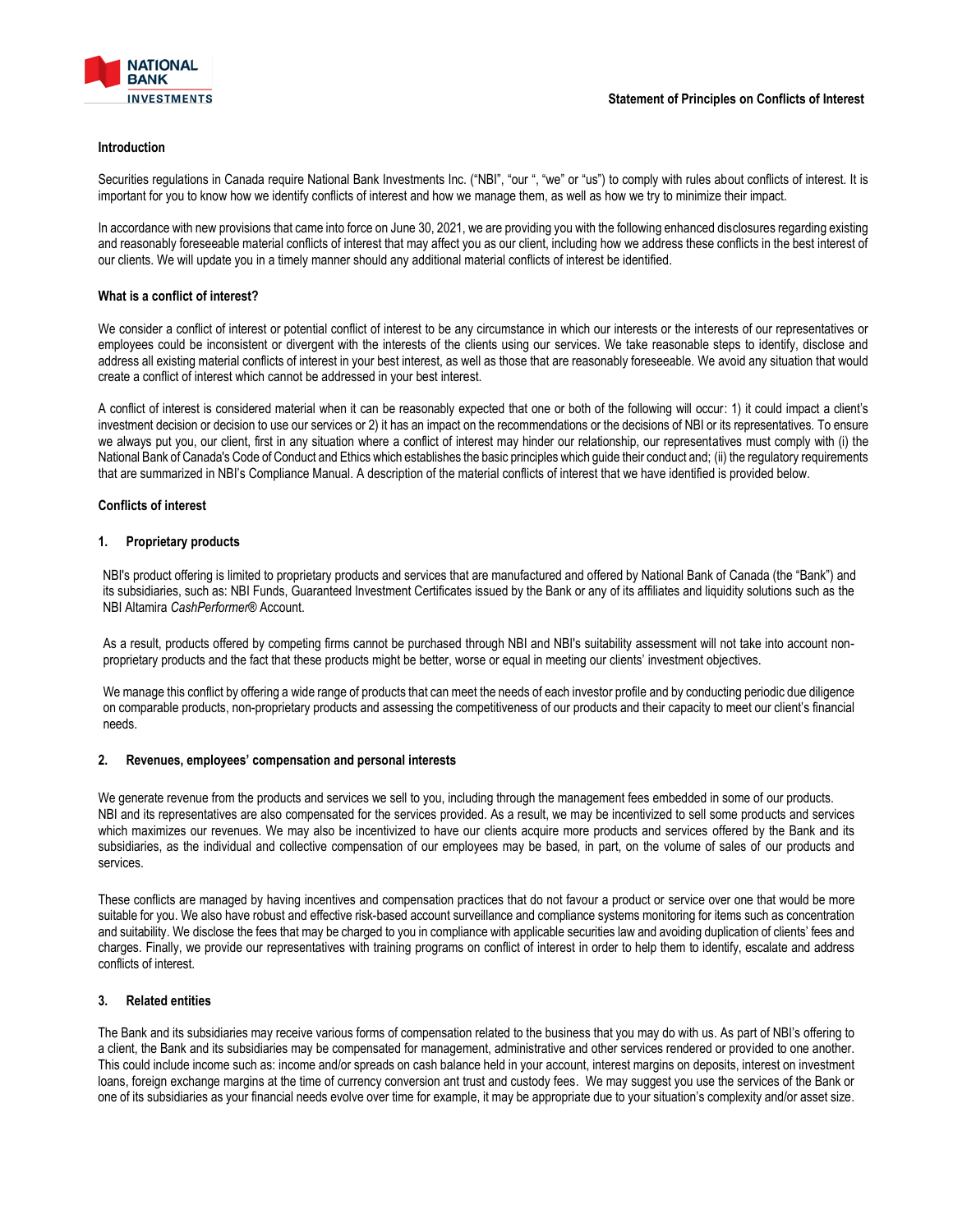

#### **Introduction**

Securities regulations in Canada require National Bank Investments Inc. ("NBI", "our ", "we" or "us") to comply with rules about conflicts of interest. It is important for you to know how we identify conflicts of interest and how we manage them, as well as how we try to minimize their impact.

In accordance with new provisions that came into force on June 30, 2021, we are providing you with the following enhanced disclosures regarding existing and reasonably foreseeable material conflicts of interest that may affect you as our client, including how we address these conflicts in the best interest of our clients. We will update you in a timely manner should any additional material conflicts of interest be identified.

#### **What is a conflict of interest?**

We consider a conflict of interest or potential conflict of interest to be any circumstance in which our interests or the interests of our representatives or employees could be inconsistent or divergent with the interests of the clients using our services. We take reasonable steps to identify, disclose and address all existing material conflicts of interest in your best interest, as well as those that are reasonably foreseeable. We avoid any situation that would create a conflict of interest which cannot be addressed in your best interest.

A conflict of interest is considered material when it can be reasonably expected that one or both of the following will occur: 1) it could impact a client's investment decision or decision to use our services or 2) it has an impact on the recommendations or the decisions of NBI or its representatives. To ensure we always put you, our client, first in any situation where a conflict of interest may hinder our relationship, our representatives must comply with (i) the National Bank of Canada's Code of Conduct and Ethics which establishes the basic principles which guide their conduct and; (ii) the regulatory requirements that are summarized in NBI's Compliance Manual. A description of the material conflicts of interest that we have identified is provided below.

## **Conflicts of interest**

#### **1. Proprietary products**

NBI's product offering is limited to proprietary products and services that are manufactured and offered by National Bank of Canada (the "Bank") and its subsidiaries, such as: NBI Funds, Guaranteed Investment Certificates issued by the Bank or any of its affiliates and liquidity solutions such as the NBI Altamira *CashPerformer®* Account.

As a result, products offered by competing firms cannot be purchased through NBI and NBI's suitability assessment will not take into account nonproprietary products and the fact that these products might be better, worse or equal in meeting our clients' investment objectives.

We manage this conflict by offering a wide range of products that can meet the needs of each investor profile and by conducting periodic due diligence on comparable products, non-proprietary products and assessing the competitiveness of our products and their capacity to meet our client's financial needs.

#### **2. Revenues, employees' compensation and personal interests**

We generate revenue from the products and services we sell to you, including through the management fees embedded in some of our products. NBI and its representatives are also compensated for the services provided. As a result, we may be incentivized to sell some products and services which maximizes our revenues. We may also be incentivized to have our clients acquire more products and services offered by the Bank and its subsidiaries, as the individual and collective compensation of our employees may be based, in part, on the volume of sales of our products and services.

These conflicts are managed by having incentives and compensation practices that do not favour a product or service over one that would be more suitable for you. We also have robust and effective risk-based account surveillance and compliance systems monitoring for items such as concentration and suitability. We disclose the fees that may be charged to you in compliance with applicable securities law and avoiding duplication of clients' fees and charges. Finally, we provide our representatives with training programs on conflict of interest in order to help them to identify, escalate and address conflicts of interest.

# **3. Related entities**

The Bank and its subsidiaries may receive various forms of compensation related to the business that you may do with us. As part of NBI's offering to a client, the Bank and its subsidiaries may be compensated for management, administrative and other services rendered or provided to one another. This could include income such as: income and/or spreads on cash balance held in your account, interest margins on deposits, interest on investment loans, foreign exchange margins at the time of currency conversion ant trust and custody fees. We may suggest you use the services of the Bank or one of its subsidiaries as your financial needs evolve over time for example, it may be appropriate due to your situation's complexity and/or asset size.